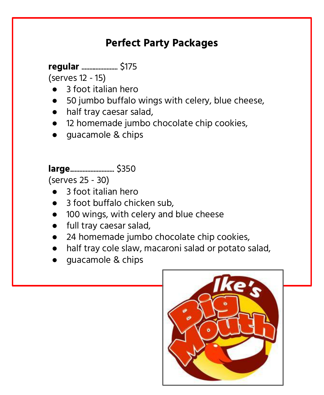### **Perfect Party Packages**

**regular** ....................... \$175

(serves 12 - 15)

- 3 foot italian hero
- 50 jumbo buffalo wings with celery, blue cheese,
- half tray caesar salad,
- **12 homemade jumbo chocolate chip cookies,**
- guacamole & chips

**large**............................ \$350

(serves 25 - 30)

- 3 foot italian hero
- 3 foot buffalo chicken sub,
- 100 wings, with celery and blue cheese
- full tray caesar salad,
- 24 homemade jumbo chocolate chip cookies,
- half tray cole slaw, macaroni salad or potato salad,
- guacamole & chips

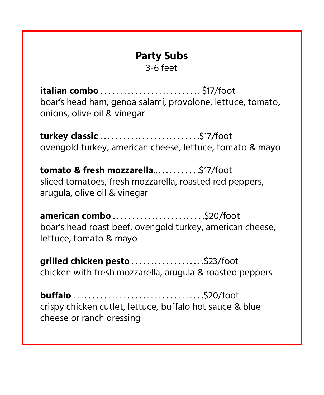#### **Party Subs**

3-6 feet

**italian combo** . . . . . . . . . . . . . . . . . . . . . . . . . . \$17/foot boar's head ham, genoa salami, provolone, lettuce, tomato, onions, olive oil & vinegar

**turkey classic** . . . . . . . . . . . . . . . . . . . . . . . . . .\$17/foot ovengold turkey, american cheese, lettuce, tomato & mayo

tomato & fresh mozzarella... . . . . . . . . . . \$17/foot sliced tomatoes, fresh mozzarella, roasted red peppers, arugula, olive oil & vinegar

**american combo** . . . . . . . . . . . . . . . . . . . . . . . .\$20/foot boar's head roast beef, ovengold turkey, american cheese, lettuce, tomato & mayo

**grilled chicken pesto** . . . . . . . . . . . . . . . . . . .\$23/foot chicken with fresh mozzarella, arugula & roasted peppers

**buffalo** . . . . . . . . . . . . . . . . . . . . . . . . . . . . . . . . . .\$20/foot crispy chicken cutlet, lettuce, buffalo hot sauce & blue cheese or ranch dressing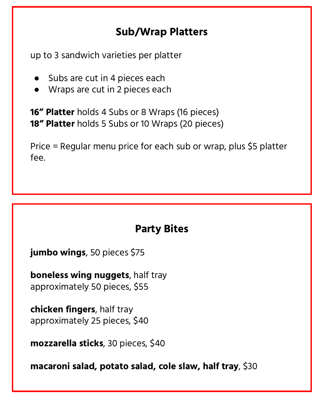# **Sub/Wrap Platters**

up to 3 sandwich varieties per platter

- Subs are cut in 4 pieces each
- Wraps are cut in 2 pieces each

**16" Platter** holds 4 Subs or 8 Wraps (16 pieces) **18" Platter** holds 5 Subs or 10 Wraps (20 pieces)

Price = Regular menu price for each sub or wrap, plus \$5 platter fee.

# **Party Bites**

**jumbo wings**, 50 pieces \$75

**boneless wing nuggets**, half tray approximately 50 pieces, \$55

**chicken fingers**, half tray approximately 25 pieces, \$40

**mozzarella sticks**, 30 pieces, \$40

**macaroni salad, potato salad, cole slaw, half tray**, \$30